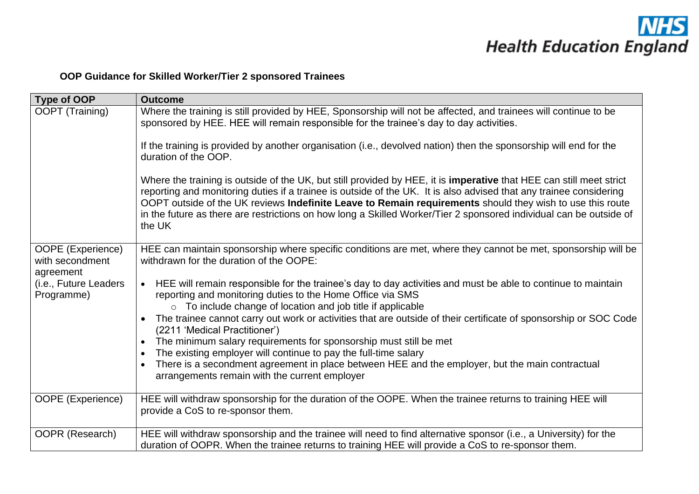

# **OOP Guidance for Skilled Worker/Tier 2 sponsored Trainees**

| Type of OOP                                       | <b>Outcome</b>                                                                                                                                                                                                                                                                                                                                                                                                                                                                         |
|---------------------------------------------------|----------------------------------------------------------------------------------------------------------------------------------------------------------------------------------------------------------------------------------------------------------------------------------------------------------------------------------------------------------------------------------------------------------------------------------------------------------------------------------------|
| OOPT (Training)                                   | Where the training is still provided by HEE, Sponsorship will not be affected, and trainees will continue to be<br>sponsored by HEE. HEE will remain responsible for the trainee's day to day activities.                                                                                                                                                                                                                                                                              |
|                                                   | If the training is provided by another organisation (i.e., devolved nation) then the sponsorship will end for the<br>duration of the OOP.                                                                                                                                                                                                                                                                                                                                              |
|                                                   | Where the training is outside of the UK, but still provided by HEE, it is imperative that HEE can still meet strict<br>reporting and monitoring duties if a trainee is outside of the UK. It is also advised that any trainee considering<br>OOPT outside of the UK reviews Indefinite Leave to Remain requirements should they wish to use this route<br>in the future as there are restrictions on how long a Skilled Worker/Tier 2 sponsored individual can be outside of<br>the UK |
| OOPE (Experience)<br>with secondment<br>agreement | HEE can maintain sponsorship where specific conditions are met, where they cannot be met, sponsorship will be<br>withdrawn for the duration of the OOPE:                                                                                                                                                                                                                                                                                                                               |
| (i.e., Future Leaders<br>Programme)               | • HEE will remain responsible for the trainee's day to day activities and must be able to continue to maintain<br>reporting and monitoring duties to the Home Office via SMS<br>o To include change of location and job title if applicable                                                                                                                                                                                                                                            |
|                                                   | The trainee cannot carry out work or activities that are outside of their certificate of sponsorship or SOC Code<br>(2211 'Medical Practitioner')                                                                                                                                                                                                                                                                                                                                      |
|                                                   | The minimum salary requirements for sponsorship must still be met<br>The existing employer will continue to pay the full-time salary                                                                                                                                                                                                                                                                                                                                                   |
|                                                   | There is a secondment agreement in place between HEE and the employer, but the main contractual<br>$\bullet$<br>arrangements remain with the current employer                                                                                                                                                                                                                                                                                                                          |
| OOPE (Experience)                                 | HEE will withdraw sponsorship for the duration of the OOPE. When the trainee returns to training HEE will<br>provide a CoS to re-sponsor them.                                                                                                                                                                                                                                                                                                                                         |
| OOPR (Research)                                   | HEE will withdraw sponsorship and the trainee will need to find alternative sponsor (i.e., a University) for the<br>duration of OOPR. When the trainee returns to training HEE will provide a CoS to re-sponsor them.                                                                                                                                                                                                                                                                  |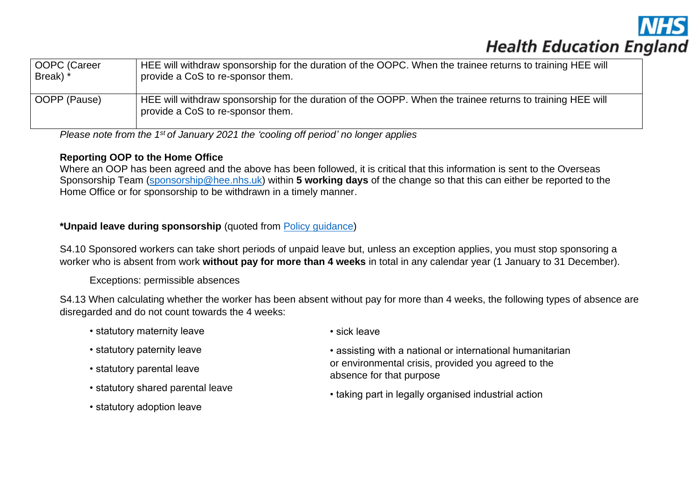

| OOPC (Career | HEE will withdraw sponsorship for the duration of the OOPC. When the trainee returns to training HEE will                                      |
|--------------|------------------------------------------------------------------------------------------------------------------------------------------------|
| Break) *     | provide a CoS to re-sponsor them.                                                                                                              |
| OOPP (Pause) | HEE will withdraw sponsorship for the duration of the OOPP. When the trainee returns to training HEE will<br>provide a CoS to re-sponsor them. |

*Please note from the 1st of January 2021 the 'cooling off period' no longer applies*

### **Reporting OOP to the Home Office**

Where an OOP has been agreed and the above has been followed, it is critical that this information is sent to the Overseas Sponsorship Team [\(sponsorship@hee.nhs.uk\)](mailto:sponsorship@hee.nhs.uk) within **5 working days** of the change so that this can either be reported to the Home Office or for sponsorship to be withdrawn in a timely manner.

# **\*Unpaid leave during sponsorship** (quoted from [Policy guidance\)](https://assets.publishing.service.gov.uk/government/uploads/system/uploads/attachment_data/file/946055/2020-12-17_Sponsor-guidance-Part-2-sponsor-a-worker-12-20_v1.0.pdf)

S4.10 Sponsored workers can take short periods of unpaid leave but, unless an exception applies, you must stop sponsoring a worker who is absent from work **without pay for more than 4 weeks** in total in any calendar year (1 January to 31 December).

#### Exceptions: permissible absences

S4.13 When calculating whether the worker has been absent without pay for more than 4 weeks, the following types of absence are disregarded and do not count towards the 4 weeks:

- statutory maternity leave
- statutory paternity leave
- statutory parental leave
- statutory shared parental leave
- statutory adoption leave
- sick leave
- assisting with a national or international humanitarian or environmental crisis, provided you agreed to the absence for that purpose
- taking part in legally organised industrial action